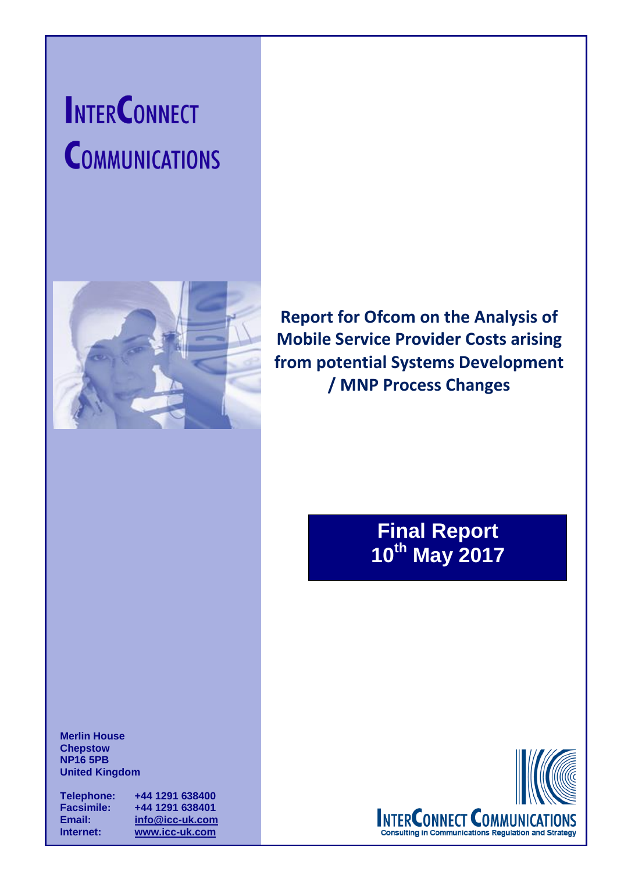# **INTERCONNECT COMMUNICATIONS**



**Report for Ofcom on the Analysis of Mobile Service Provider Costs arising from potential Systems Development / MNP Process Changes**

# **Final Report 10th May 2017**

**Merlin House Chepstow NP16 5PB United Kingdom**

**Telephone: +44 1291 638400 Facsimile: +44 1291 638401 Email: [info@icc-uk.com](mailto:info@icc-uk.com) Internet: [www.icc-uk.com](http://www.icc-uk.com/)**

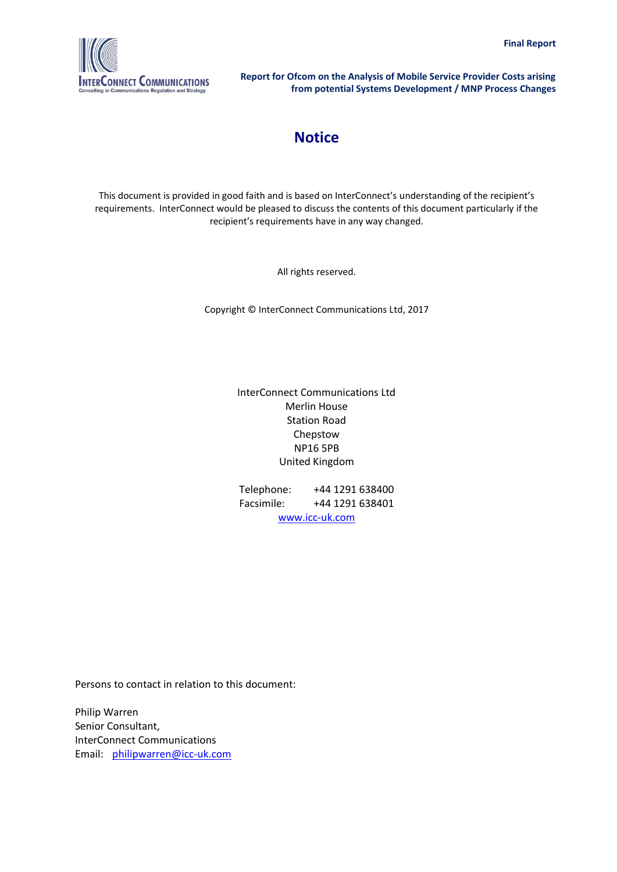

# **Notice**

This document is provided in good faith and is based on InterConnect's understanding of the recipient's requirements. InterConnect would be pleased to discuss the contents of this document particularly if the recipient's requirements have in any way changed.

All rights reserved.

Copyright © InterConnect Communications Ltd, 2017

#### InterConnect Communications Ltd Merlin House Station Road Chepstow NP16 5PB United Kingdom

Telephone: +44 1291 638400 Facsimile: +44 1291 638401 [www.icc-uk.com](http://www.icc-uk.com/)

Persons to contact in relation to this document:

Philip Warren Senior Consultant, InterConnect Communications Email: philipwarren@icc-uk.com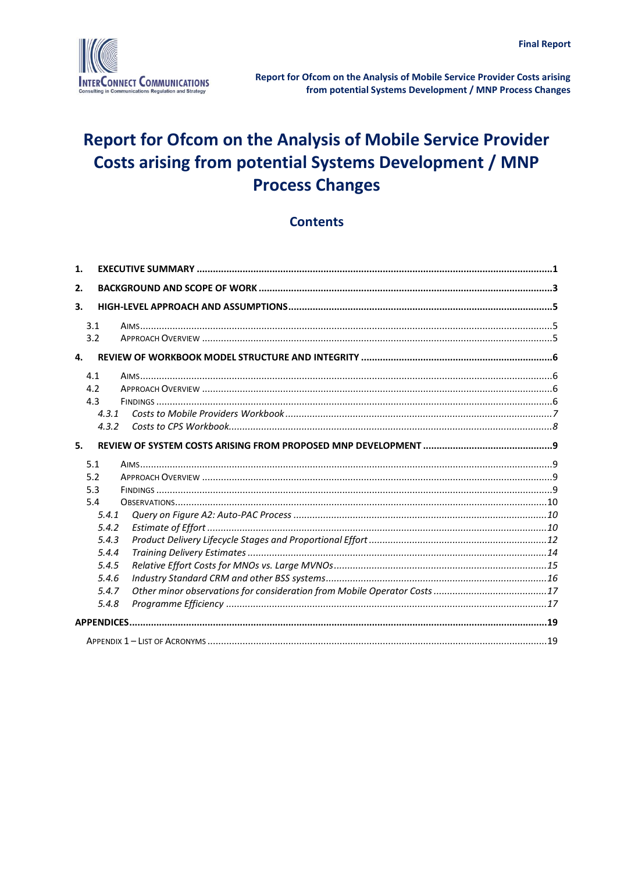

## **Contents**

| 1.    |  |
|-------|--|
| 2.    |  |
| 3.    |  |
| 3.1   |  |
| 3.2   |  |
| 4.    |  |
| 4.1   |  |
| 4.2   |  |
| 4.3   |  |
| 4.3.1 |  |
| 4.3.2 |  |
| 5.    |  |
| 5.1   |  |
| 5.2   |  |
| 5.3   |  |
| 5.4   |  |
| 5.4.1 |  |
| 5.4.2 |  |
| 5.4.3 |  |
| 5.4.4 |  |
| 5.4.5 |  |
| 5.4.6 |  |
| 5.4.7 |  |
| 5.4.8 |  |
|       |  |
|       |  |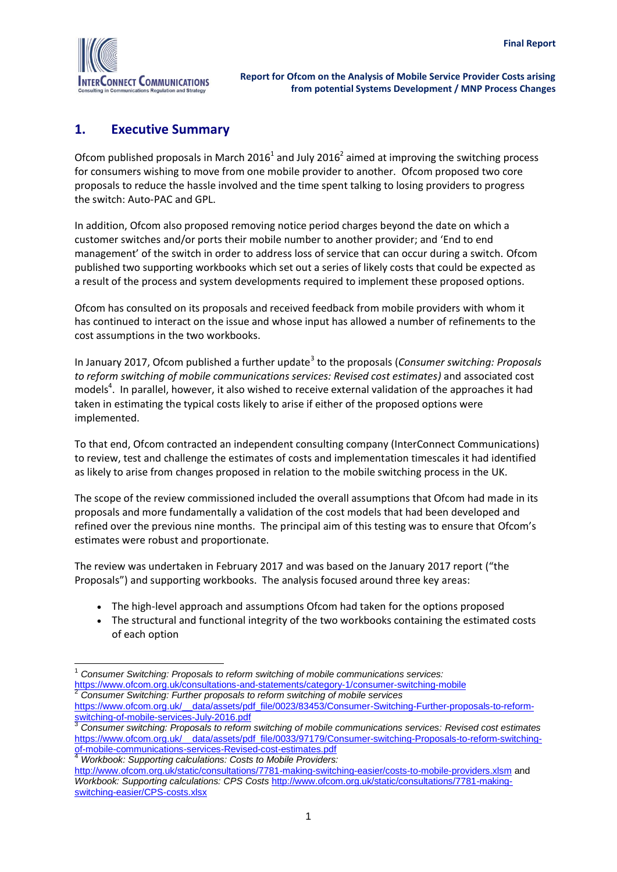

### <span id="page-3-0"></span>**1. Executive Summary**

Ofcom published proposals in March 2016<sup>1</sup> and July 2016<sup>2</sup> aimed at improving the switching process for consumers wishing to move from one mobile provider to another. Ofcom proposed two core proposals to reduce the hassle involved and the time spent talking to losing providers to progress the switch: Auto-PAC and GPL.

In addition, Ofcom also proposed removing notice period charges beyond the date on which a customer switches and/or ports their mobile number to another provider; and 'End to end management' of the switch in order to address loss of service that can occur during a switch. Ofcom published two supporting workbooks which set out a series of likely costs that could be expected as a result of the process and system developments required to implement these proposed options.

Ofcom has consulted on its proposals and received feedback from mobile providers with whom it has continued to interact on the issue and whose input has allowed a number of refinements to the cost assumptions in the two workbooks.

In January 2017, Ofcom published a further update<sup>3</sup> to the proposals (*Consumer switching: Proposals to reform switching of mobile communications services: Revised cost estimates)* and associated cost models<sup>4</sup>. In parallel, however, it also wished to receive external validation of the approaches it had taken in estimating the typical costs likely to arise if either of the proposed options were implemented.

To that end, Ofcom contracted an independent consulting company (InterConnect Communications) to review, test and challenge the estimates of costs and implementation timescales it had identified as likely to arise from changes proposed in relation to the mobile switching process in the UK.

The scope of the review commissioned included the overall assumptions that Ofcom had made in its proposals and more fundamentally a validation of the cost models that had been developed and refined over the previous nine months. The principal aim of this testing was to ensure that Ofcom's estimates were robust and proportionate.

The review was undertaken in February 2017 and was based on the January 2017 report ("the Proposals") and supporting workbooks. The analysis focused around three key areas:

- The high-level approach and assumptions Ofcom had taken for the options proposed
- The structural and functional integrity of the two workbooks containing the estimated costs of each option

<sup>4</sup> *Workbook: Supporting calculations: Costs to Mobile Providers:* 

 $\overline{a}$ <sup>1</sup> *Consumer Switching: Proposals to reform switching of mobile communications services:*  <https://www.ofcom.org.uk/consultations-and-statements/category-1/consumer-switching-mobile><br>2. Consumer-Switching: Eurispine: Eurispine: Eurispine: Eurispine: Eurispine: Eurispine: Eurispine: Eurispine:

<sup>2</sup> *Consumer Switching: Further proposals to reform switching of mobile services*

[https://www.ofcom.org.uk/\\_\\_data/assets/pdf\\_file/0023/83453/Consumer-Switching-Further-proposals-to-reform](https://www.ofcom.org.uk/__data/assets/pdf_file/0023/83453/Consumer-Switching-Further-proposals-to-reform-switching-of-mobile-services-July-2016.pdf)switching-of-mobile-services-July-2016.pdf

<sup>3</sup> *Consumer switching: Proposals to reform switching of mobile communications services: Revised cost estimates* https://www.ofcom.org.uk/ data/assets/pdf\_file/0033/97179/Consumer-switching-Proposals-to-reform-switching[of-mobile-communications-services-Revised-cost-estimates.pdf](https://www.ofcom.org.uk/__data/assets/pdf_file/0033/97179/Consumer-switching-Proposals-to-reform-switching-of-mobile-communications-services-Revised-cost-estimates.pdf)

<http://www.ofcom.org.uk/static/consultations/7781-making-switching-easier/costs-to-mobile-providers.xlsm> and *Workbook: Supporting calculations: CPS Costs* [http://www.ofcom.org.uk/static/consultations/7781-making](http://www.ofcom.org.uk/static/consultations/7781-making-switching-easier/CPS-costs.xlsx)[switching-easier/CPS-costs.xlsx](http://www.ofcom.org.uk/static/consultations/7781-making-switching-easier/CPS-costs.xlsx)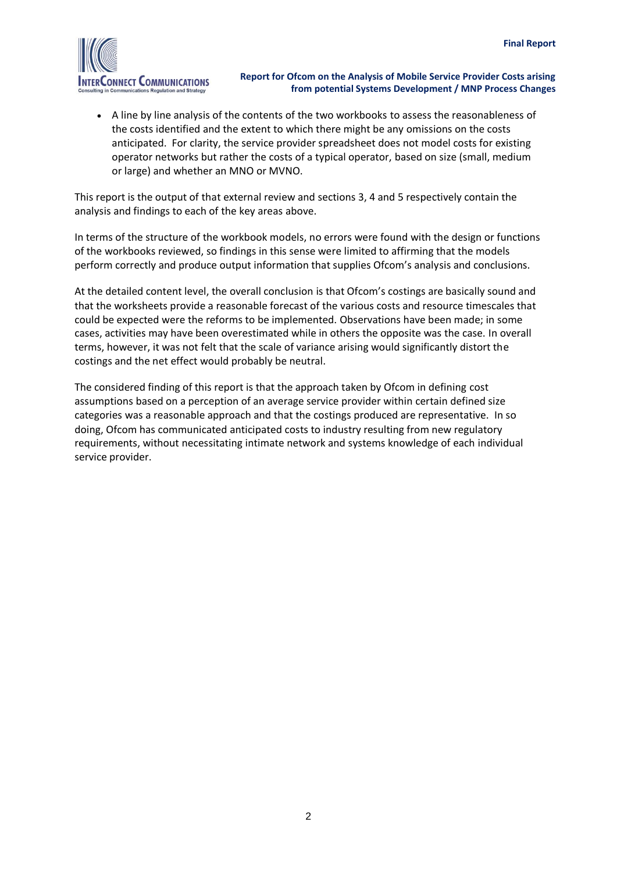

 A line by line analysis of the contents of the two workbooks to assess the reasonableness of the costs identified and the extent to which there might be any omissions on the costs anticipated. For clarity, the service provider spreadsheet does not model costs for existing operator networks but rather the costs of a typical operator, based on size (small, medium or large) and whether an MNO or MVNO.

This report is the output of that external review and sections 3, 4 and 5 respectively contain the analysis and findings to each of the key areas above.

In terms of the structure of the workbook models, no errors were found with the design or functions of the workbooks reviewed, so findings in this sense were limited to affirming that the models perform correctly and produce output information that supplies Ofcom's analysis and conclusions.

At the detailed content level, the overall conclusion is that Ofcom's costings are basically sound and that the worksheets provide a reasonable forecast of the various costs and resource timescales that could be expected were the reforms to be implemented. Observations have been made; in some cases, activities may have been overestimated while in others the opposite was the case. In overall terms, however, it was not felt that the scale of variance arising would significantly distort the costings and the net effect would probably be neutral.

The considered finding of this report is that the approach taken by Ofcom in defining cost assumptions based on a perception of an average service provider within certain defined size categories was a reasonable approach and that the costings produced are representative. In so doing, Ofcom has communicated anticipated costs to industry resulting from new regulatory requirements, without necessitating intimate network and systems knowledge of each individual service provider.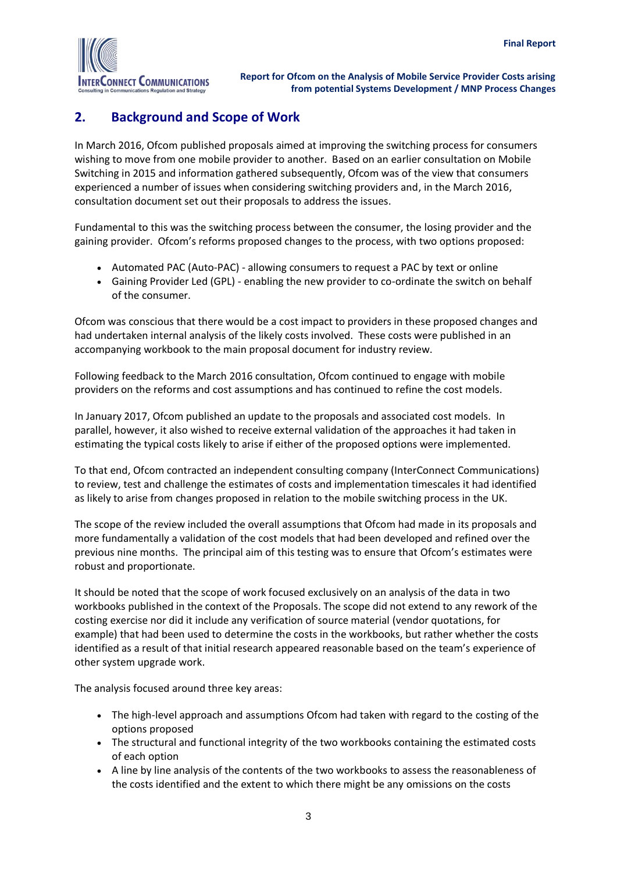

# <span id="page-5-0"></span>**2. Background and Scope of Work**

In March 2016, Ofcom published proposals aimed at improving the switching process for consumers wishing to move from one mobile provider to another. Based on an earlier consultation on Mobile Switching in 2015 and information gathered subsequently, Ofcom was of the view that consumers experienced a number of issues when considering switching providers and, in the March 2016, consultation document set out their proposals to address the issues.

Fundamental to this was the switching process between the consumer, the losing provider and the gaining provider. Ofcom's reforms proposed changes to the process, with two options proposed:

- Automated PAC (Auto-PAC) allowing consumers to request a PAC by text or online
- Gaining Provider Led (GPL) enabling the new provider to co-ordinate the switch on behalf of the consumer.

Ofcom was conscious that there would be a cost impact to providers in these proposed changes and had undertaken internal analysis of the likely costs involved. These costs were published in an accompanying workbook to the main proposal document for industry review.

Following feedback to the March 2016 consultation, Ofcom continued to engage with mobile providers on the reforms and cost assumptions and has continued to refine the cost models.

In January 2017, Ofcom published an update to the proposals and associated cost models. In parallel, however, it also wished to receive external validation of the approaches it had taken in estimating the typical costs likely to arise if either of the proposed options were implemented.

To that end, Ofcom contracted an independent consulting company (InterConnect Communications) to review, test and challenge the estimates of costs and implementation timescales it had identified as likely to arise from changes proposed in relation to the mobile switching process in the UK.

The scope of the review included the overall assumptions that Ofcom had made in its proposals and more fundamentally a validation of the cost models that had been developed and refined over the previous nine months. The principal aim of this testing was to ensure that Ofcom's estimates were robust and proportionate.

It should be noted that the scope of work focused exclusively on an analysis of the data in two workbooks published in the context of the Proposals. The scope did not extend to any rework of the costing exercise nor did it include any verification of source material (vendor quotations, for example) that had been used to determine the costs in the workbooks, but rather whether the costs identified as a result of that initial research appeared reasonable based on the team's experience of other system upgrade work.

The analysis focused around three key areas:

- The high-level approach and assumptions Ofcom had taken with regard to the costing of the options proposed
- The structural and functional integrity of the two workbooks containing the estimated costs of each option
- A line by line analysis of the contents of the two workbooks to assess the reasonableness of the costs identified and the extent to which there might be any omissions on the costs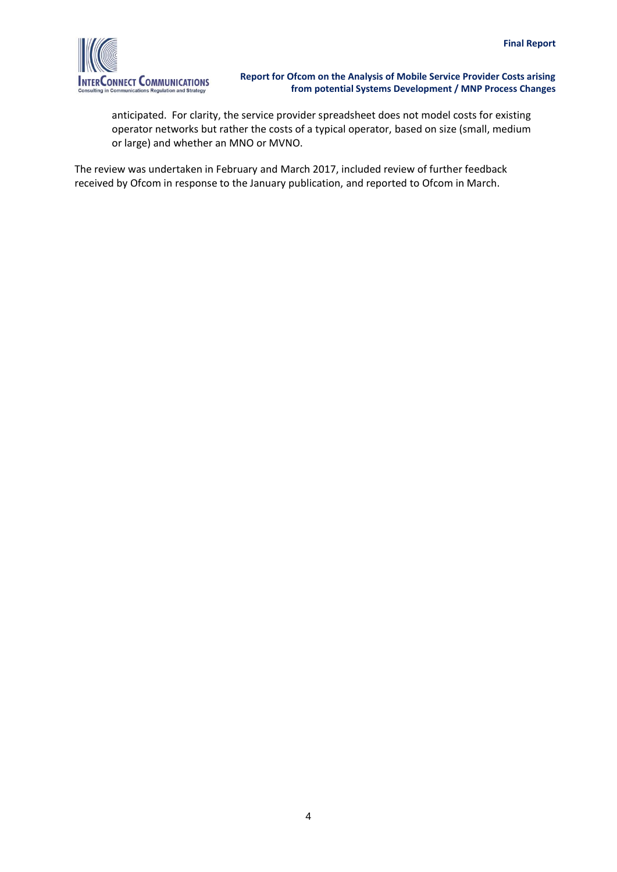

anticipated. For clarity, the service provider spreadsheet does not model costs for existing operator networks but rather the costs of a typical operator, based on size (small, medium or large) and whether an MNO or MVNO.

The review was undertaken in February and March 2017, included review of further feedback received by Ofcom in response to the January publication, and reported to Ofcom in March.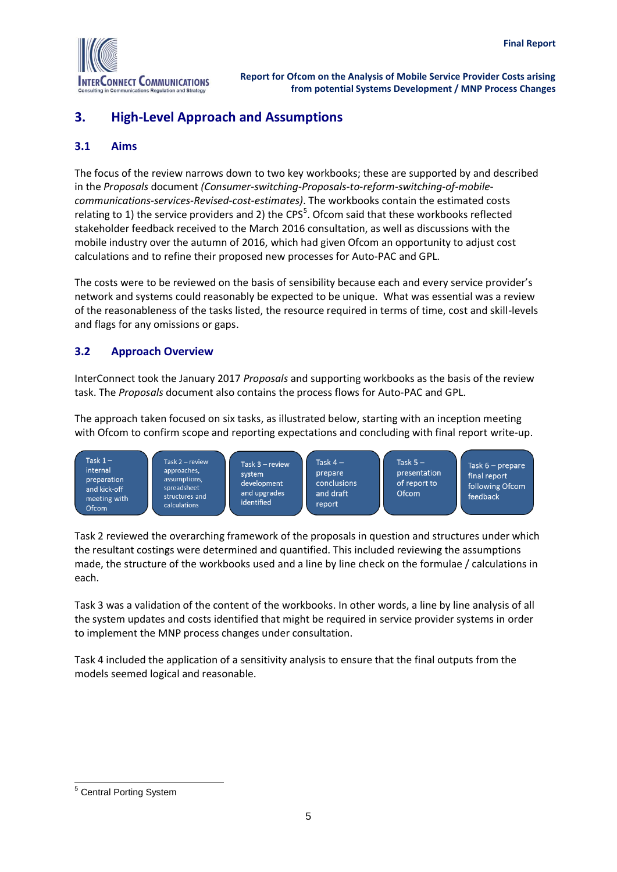

# <span id="page-7-0"></span>**3. High-Level Approach and Assumptions**

#### <span id="page-7-1"></span>**3.1 Aims**

The focus of the review narrows down to two key workbooks; these are supported by and described in the *Proposals* document *(Consumer-switching-Proposals-to-reform-switching-of-mobilecommunications-services-Revised-cost-estimates)*. The workbooks contain the estimated costs relating to 1) the service providers and 2) the CPS<sup>5</sup>. Ofcom said that these workbooks reflected stakeholder feedback received to the March 2016 consultation, as well as discussions with the mobile industry over the autumn of 2016, which had given Ofcom an opportunity to adjust cost calculations and to refine their proposed new processes for Auto-PAC and GPL.

The costs were to be reviewed on the basis of sensibility because each and every service provider's network and systems could reasonably be expected to be unique. What was essential was a review of the reasonableness of the tasks listed, the resource required in terms of time, cost and skill-levels and flags for any omissions or gaps.

#### <span id="page-7-2"></span>**3.2 Approach Overview**

InterConnect took the January 2017 *Proposals* and supporting workbooks as the basis of the review task. The *Proposals* document also contains the process flows for Auto-PAC and GPL.

The approach taken focused on six tasks, as illustrated below, starting with an inception meeting with Ofcom to confirm scope and reporting expectations and concluding with final report write-up.



Task 2 reviewed the overarching framework of the proposals in question and structures under which the resultant costings were determined and quantified. This included reviewing the assumptions made, the structure of the workbooks used and a line by line check on the formulae / calculations in each.

Task 3 was a validation of the content of the workbooks. In other words, a line by line analysis of all the system updates and costs identified that might be required in service provider systems in order to implement the MNP process changes under consultation.

Task 4 included the application of a sensitivity analysis to ensure that the final outputs from the models seemed logical and reasonable.

 $\overline{a}$ <sup>5</sup> Central Porting System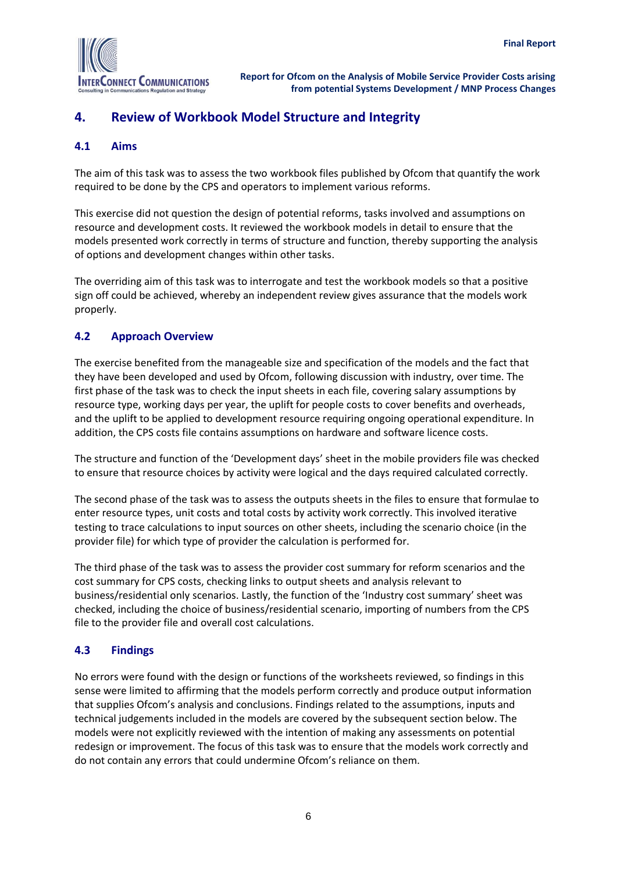

# <span id="page-8-0"></span>**4. Review of Workbook Model Structure and Integrity**

#### <span id="page-8-1"></span>**4.1 Aims**

The aim of this task was to assess the two workbook files published by Ofcom that quantify the work required to be done by the CPS and operators to implement various reforms.

This exercise did not question the design of potential reforms, tasks involved and assumptions on resource and development costs. It reviewed the workbook models in detail to ensure that the models presented work correctly in terms of structure and function, thereby supporting the analysis of options and development changes within other tasks.

The overriding aim of this task was to interrogate and test the workbook models so that a positive sign off could be achieved, whereby an independent review gives assurance that the models work properly.

#### <span id="page-8-2"></span>**4.2 Approach Overview**

The exercise benefited from the manageable size and specification of the models and the fact that they have been developed and used by Ofcom, following discussion with industry, over time. The first phase of the task was to check the input sheets in each file, covering salary assumptions by resource type, working days per year, the uplift for people costs to cover benefits and overheads, and the uplift to be applied to development resource requiring ongoing operational expenditure. In addition, the CPS costs file contains assumptions on hardware and software licence costs.

The structure and function of the 'Development days' sheet in the mobile providers file was checked to ensure that resource choices by activity were logical and the days required calculated correctly.

The second phase of the task was to assess the outputs sheets in the files to ensure that formulae to enter resource types, unit costs and total costs by activity work correctly. This involved iterative testing to trace calculations to input sources on other sheets, including the scenario choice (in the provider file) for which type of provider the calculation is performed for.

The third phase of the task was to assess the provider cost summary for reform scenarios and the cost summary for CPS costs, checking links to output sheets and analysis relevant to business/residential only scenarios. Lastly, the function of the 'Industry cost summary' sheet was checked, including the choice of business/residential scenario, importing of numbers from the CPS file to the provider file and overall cost calculations.

#### <span id="page-8-3"></span>**4.3 Findings**

No errors were found with the design or functions of the worksheets reviewed, so findings in this sense were limited to affirming that the models perform correctly and produce output information that supplies Ofcom's analysis and conclusions. Findings related to the assumptions, inputs and technical judgements included in the models are covered by the subsequent section below. The models were not explicitly reviewed with the intention of making any assessments on potential redesign or improvement. The focus of this task was to ensure that the models work correctly and do not contain any errors that could undermine Ofcom's reliance on them.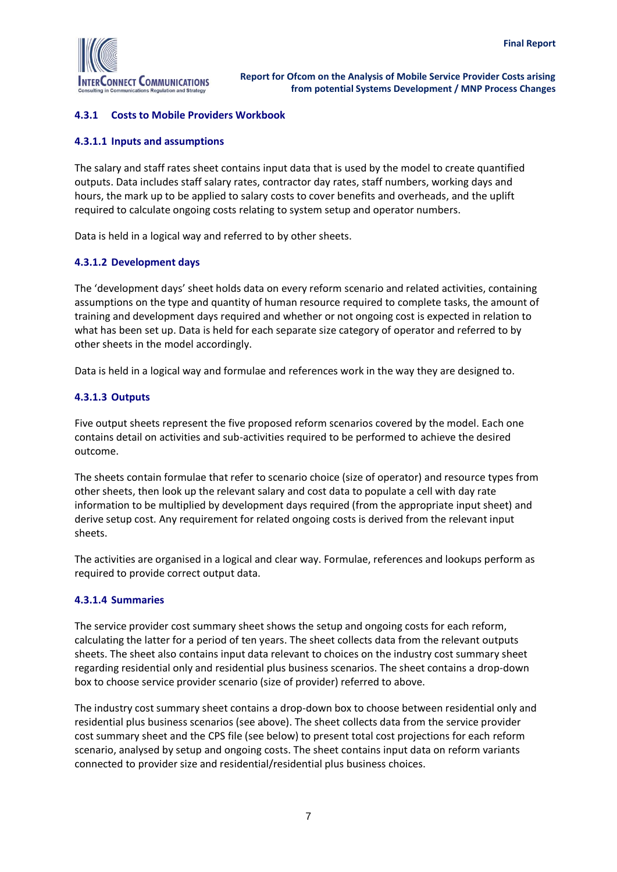

#### <span id="page-9-0"></span>**4.3.1 Costs to Mobile Providers Workbook**

#### **4.3.1.1 Inputs and assumptions**

The salary and staff rates sheet contains input data that is used by the model to create quantified outputs. Data includes staff salary rates, contractor day rates, staff numbers, working days and hours, the mark up to be applied to salary costs to cover benefits and overheads, and the uplift required to calculate ongoing costs relating to system setup and operator numbers.

Data is held in a logical way and referred to by other sheets.

#### **4.3.1.2 Development days**

The 'development days' sheet holds data on every reform scenario and related activities, containing assumptions on the type and quantity of human resource required to complete tasks, the amount of training and development days required and whether or not ongoing cost is expected in relation to what has been set up. Data is held for each separate size category of operator and referred to by other sheets in the model accordingly.

Data is held in a logical way and formulae and references work in the way they are designed to.

#### **4.3.1.3 Outputs**

Five output sheets represent the five proposed reform scenarios covered by the model. Each one contains detail on activities and sub-activities required to be performed to achieve the desired outcome.

The sheets contain formulae that refer to scenario choice (size of operator) and resource types from other sheets, then look up the relevant salary and cost data to populate a cell with day rate information to be multiplied by development days required (from the appropriate input sheet) and derive setup cost. Any requirement for related ongoing costs is derived from the relevant input sheets.

The activities are organised in a logical and clear way. Formulae, references and lookups perform as required to provide correct output data.

#### **4.3.1.4 Summaries**

The service provider cost summary sheet shows the setup and ongoing costs for each reform, calculating the latter for a period of ten years. The sheet collects data from the relevant outputs sheets. The sheet also contains input data relevant to choices on the industry cost summary sheet regarding residential only and residential plus business scenarios. The sheet contains a drop-down box to choose service provider scenario (size of provider) referred to above.

The industry cost summary sheet contains a drop-down box to choose between residential only and residential plus business scenarios (see above). The sheet collects data from the service provider cost summary sheet and the CPS file (see below) to present total cost projections for each reform scenario, analysed by setup and ongoing costs. The sheet contains input data on reform variants connected to provider size and residential/residential plus business choices.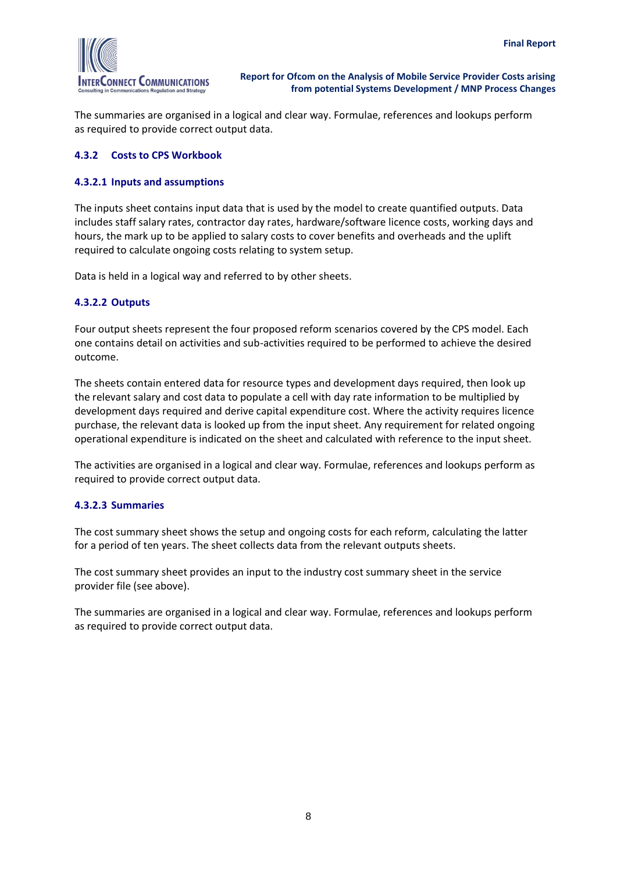

The summaries are organised in a logical and clear way. Formulae, references and lookups perform as required to provide correct output data.

#### <span id="page-10-0"></span>**4.3.2 Costs to CPS Workbook**

#### **4.3.2.1 Inputs and assumptions**

The inputs sheet contains input data that is used by the model to create quantified outputs. Data includes staff salary rates, contractor day rates, hardware/software licence costs, working days and hours, the mark up to be applied to salary costs to cover benefits and overheads and the uplift required to calculate ongoing costs relating to system setup.

Data is held in a logical way and referred to by other sheets.

#### **4.3.2.2 Outputs**

Four output sheets represent the four proposed reform scenarios covered by the CPS model. Each one contains detail on activities and sub-activities required to be performed to achieve the desired outcome.

The sheets contain entered data for resource types and development days required, then look up the relevant salary and cost data to populate a cell with day rate information to be multiplied by development days required and derive capital expenditure cost. Where the activity requires licence purchase, the relevant data is looked up from the input sheet. Any requirement for related ongoing operational expenditure is indicated on the sheet and calculated with reference to the input sheet.

The activities are organised in a logical and clear way. Formulae, references and lookups perform as required to provide correct output data.

#### **4.3.2.3 Summaries**

The cost summary sheet shows the setup and ongoing costs for each reform, calculating the latter for a period of ten years. The sheet collects data from the relevant outputs sheets.

The cost summary sheet provides an input to the industry cost summary sheet in the service provider file (see above).

The summaries are organised in a logical and clear way. Formulae, references and lookups perform as required to provide correct output data.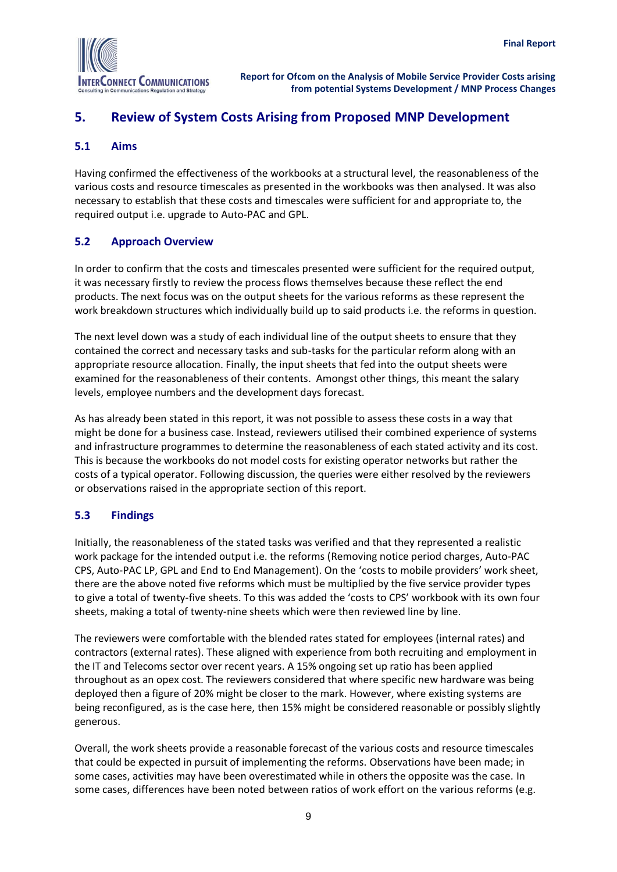

# <span id="page-11-0"></span>**5. Review of System Costs Arising from Proposed MNP Development**

#### <span id="page-11-1"></span>**5.1 Aims**

Having confirmed the effectiveness of the workbooks at a structural level, the reasonableness of the various costs and resource timescales as presented in the workbooks was then analysed. It was also necessary to establish that these costs and timescales were sufficient for and appropriate to, the required output i.e. upgrade to Auto-PAC and GPL.

#### <span id="page-11-2"></span>**5.2 Approach Overview**

In order to confirm that the costs and timescales presented were sufficient for the required output, it was necessary firstly to review the process flows themselves because these reflect the end products. The next focus was on the output sheets for the various reforms as these represent the work breakdown structures which individually build up to said products i.e. the reforms in question.

The next level down was a study of each individual line of the output sheets to ensure that they contained the correct and necessary tasks and sub-tasks for the particular reform along with an appropriate resource allocation. Finally, the input sheets that fed into the output sheets were examined for the reasonableness of their contents. Amongst other things, this meant the salary levels, employee numbers and the development days forecast.

As has already been stated in this report, it was not possible to assess these costs in a way that might be done for a business case. Instead, reviewers utilised their combined experience of systems and infrastructure programmes to determine the reasonableness of each stated activity and its cost. This is because the workbooks do not model costs for existing operator networks but rather the costs of a typical operator. Following discussion, the queries were either resolved by the reviewers or observations raised in the appropriate section of this report.

#### <span id="page-11-3"></span>**5.3 Findings**

Initially, the reasonableness of the stated tasks was verified and that they represented a realistic work package for the intended output i.e. the reforms (Removing notice period charges, Auto-PAC CPS, Auto-PAC LP, GPL and End to End Management). On the 'costs to mobile providers' work sheet, there are the above noted five reforms which must be multiplied by the five service provider types to give a total of twenty-five sheets. To this was added the 'costs to CPS' workbook with its own four sheets, making a total of twenty-nine sheets which were then reviewed line by line.

The reviewers were comfortable with the blended rates stated for employees (internal rates) and contractors (external rates). These aligned with experience from both recruiting and employment in the IT and Telecoms sector over recent years. A 15% ongoing set up ratio has been applied throughout as an opex cost. The reviewers considered that where specific new hardware was being deployed then a figure of 20% might be closer to the mark. However, where existing systems are being reconfigured, as is the case here, then 15% might be considered reasonable or possibly slightly generous.

Overall, the work sheets provide a reasonable forecast of the various costs and resource timescales that could be expected in pursuit of implementing the reforms. Observations have been made; in some cases, activities may have been overestimated while in others the opposite was the case. In some cases, differences have been noted between ratios of work effort on the various reforms (e.g.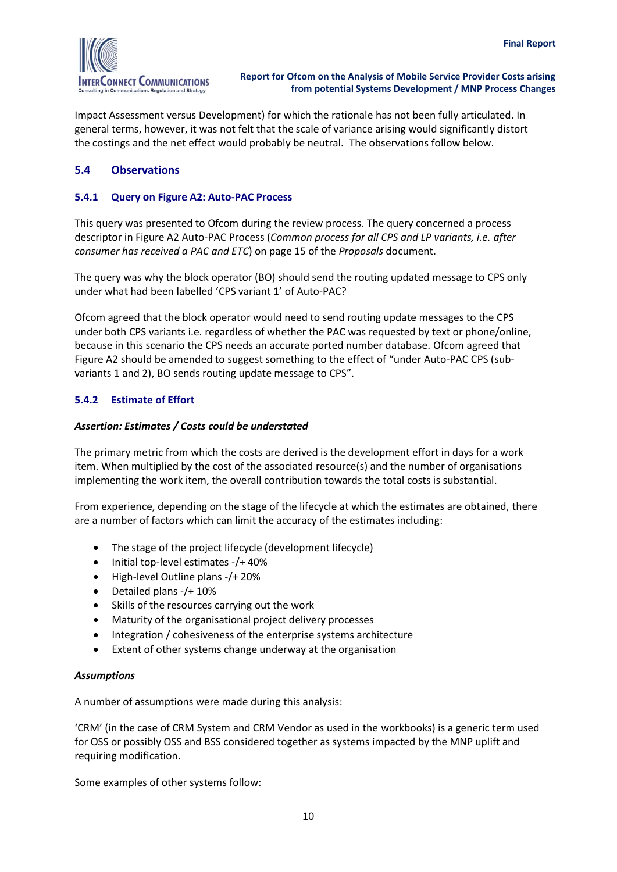

Impact Assessment versus Development) for which the rationale has not been fully articulated. In general terms, however, it was not felt that the scale of variance arising would significantly distort the costings and the net effect would probably be neutral. The observations follow below.

#### <span id="page-12-0"></span>**5.4 Observations**

#### <span id="page-12-1"></span>**5.4.1 Query on Figure A2: Auto-PAC Process**

This query was presented to Ofcom during the review process. The query concerned a process descriptor in Figure A2 Auto-PAC Process (*Common process for all CPS and LP variants, i.e. after consumer has received a PAC and ETC*) on page 15 of the *Proposals* document.

The query was why the block operator (BO) should send the routing updated message to CPS only under what had been labelled 'CPS variant 1' of Auto-PAC?

Ofcom agreed that the block operator would need to send routing update messages to the CPS under both CPS variants i.e. regardless of whether the PAC was requested by text or phone/online, because in this scenario the CPS needs an accurate ported number database. Ofcom agreed that Figure A2 should be amended to suggest something to the effect of "under Auto-PAC CPS (subvariants 1 and 2), BO sends routing update message to CPS".

#### <span id="page-12-2"></span>**5.4.2 Estimate of Effort**

#### *Assertion: Estimates / Costs could be understated*

The primary metric from which the costs are derived is the development effort in days for a work item. When multiplied by the cost of the associated resource(s) and the number of organisations implementing the work item, the overall contribution towards the total costs is substantial.

From experience, depending on the stage of the lifecycle at which the estimates are obtained, there are a number of factors which can limit the accuracy of the estimates including:

- The stage of the project lifecycle (development lifecycle)
- Initial top-level estimates -/+ 40%
- $\bullet$  High-level Outline plans -/+ 20%
- Detailed plans -/+ 10%
- Skills of the resources carrying out the work
- Maturity of the organisational project delivery processes
- Integration / cohesiveness of the enterprise systems architecture
- Extent of other systems change underway at the organisation

#### *Assumptions*

A number of assumptions were made during this analysis:

'CRM' (in the case of CRM System and CRM Vendor as used in the workbooks) is a generic term used for OSS or possibly OSS and BSS considered together as systems impacted by the MNP uplift and requiring modification.

Some examples of other systems follow: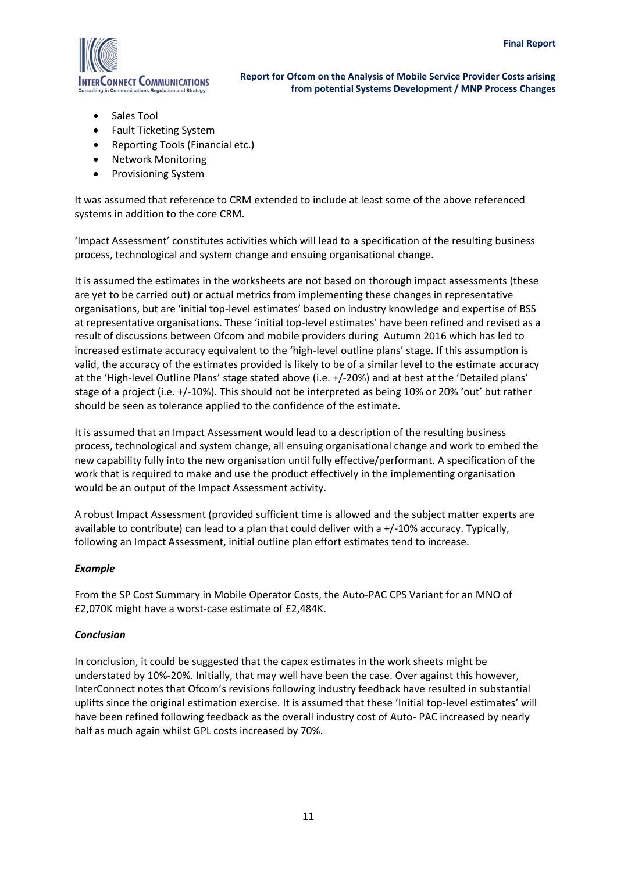

- Sales Tool
- Fault Ticketing System
- Reporting Tools (Financial etc.)
- Network Monitoring
- Provisioning System

It was assumed that reference to CRM extended to include at least some of the above referenced systems in addition to the core CRM.

'Impact Assessment' constitutes activities which will lead to a specification of the resulting business process, technological and system change and ensuing organisational change.

It is assumed the estimates in the worksheets are not based on thorough impact assessments (these are yet to be carried out) or actual metrics from implementing these changes in representative organisations, but are 'initial top-level estimates' based on industry knowledge and expertise of BSS at representative organisations. These 'initial top-level estimates' have been refined and revised as a result of discussions between Ofcom and mobile providers during Autumn 2016 which has led to increased estimate accuracy equivalent to the 'high-level outline plans' stage. If this assumption is valid, the accuracy of the estimates provided is likely to be of a similar level to the estimate accuracy at the 'High-level Outline Plans' stage stated above (i.e. +/-20%) and at best at the 'Detailed plans' stage of a project (i.e. +/-10%). This should not be interpreted as being 10% or 20% 'out' but rather should be seen as tolerance applied to the confidence of the estimate.

It is assumed that an Impact Assessment would lead to a description of the resulting business process, technological and system change, all ensuing organisational change and work to embed the new capability fully into the new organisation until fully effective/performant. A specification of the work that is required to make and use the product effectively in the implementing organisation would be an output of the Impact Assessment activity.

A robust Impact Assessment (provided sufficient time is allowed and the subject matter experts are available to contribute) can lead to a plan that could deliver with a +/-10% accuracy. Typically, following an Impact Assessment, initial outline plan effort estimates tend to increase.

#### *Example*

From the SP Cost Summary in Mobile Operator Costs, the Auto-PAC CPS Variant for an MNO of £2,070K might have a worst-case estimate of £2,484K.

#### *Conclusion*

In conclusion, it could be suggested that the capex estimates in the work sheets might be understated by 10%-20%. Initially, that may well have been the case. Over against this however, InterConnect notes that Ofcom's revisions following industry feedback have resulted in substantial uplifts since the original estimation exercise. It is assumed that these 'Initial top-level estimates' will have been refined following feedback as the overall industry cost of Auto- PAC increased by nearly half as much again whilst GPL costs increased by 70%.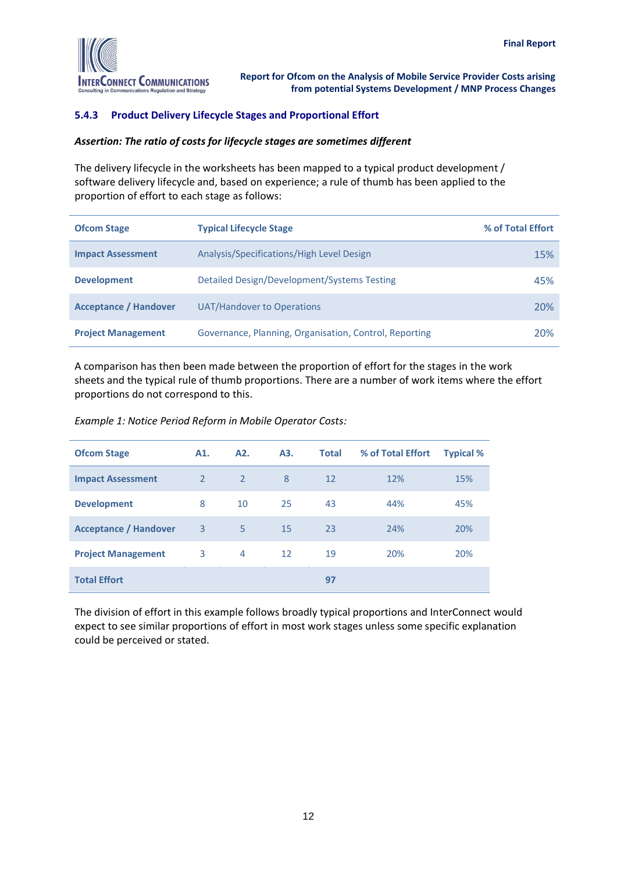

#### <span id="page-14-0"></span>**5.4.3 Product Delivery Lifecycle Stages and Proportional Effort**

#### *Assertion: The ratio of costs for lifecycle stages are sometimes different*

The delivery lifecycle in the worksheets has been mapped to a typical product development / software delivery lifecycle and, based on experience; a rule of thumb has been applied to the proportion of effort to each stage as follows:

| <b>Ofcom Stage</b>           | <b>Typical Lifecycle Stage</b>                         | % of Total Effort |
|------------------------------|--------------------------------------------------------|-------------------|
| <b>Impact Assessment</b>     | Analysis/Specifications/High Level Design              | 15%               |
| <b>Development</b>           | Detailed Design/Development/Systems Testing            | 45%               |
| <b>Acceptance / Handover</b> | UAT/Handover to Operations                             | 20%               |
| <b>Project Management</b>    | Governance, Planning, Organisation, Control, Reporting | 20%               |

A comparison has then been made between the proportion of effort for the stages in the work sheets and the typical rule of thumb proportions. There are a number of work items where the effort proportions do not correspond to this.

*Example 1: Notice Period Reform in Mobile Operator Costs:*

| <b>Ofcom Stage</b>           | A1.            | A <sub>2</sub> . | A3. | <b>Total</b> | % of Total Effort | <b>Typical %</b> |
|------------------------------|----------------|------------------|-----|--------------|-------------------|------------------|
| <b>Impact Assessment</b>     | $\overline{2}$ | $\overline{2}$   | 8   | 12           | 12%               | 15%              |
| <b>Development</b>           | 8              | 10               | 25  | 43           | 44%               | 45%              |
| <b>Acceptance / Handover</b> | 3              | 5                | 15  | 23           | 24%               | 20%              |
| <b>Project Management</b>    | 3              | 4                | 12  | 19           | 20%               | 20%              |
| <b>Total Effort</b>          |                |                  |     | 97           |                   |                  |

The division of effort in this example follows broadly typical proportions and InterConnect would expect to see similar proportions of effort in most work stages unless some specific explanation could be perceived or stated.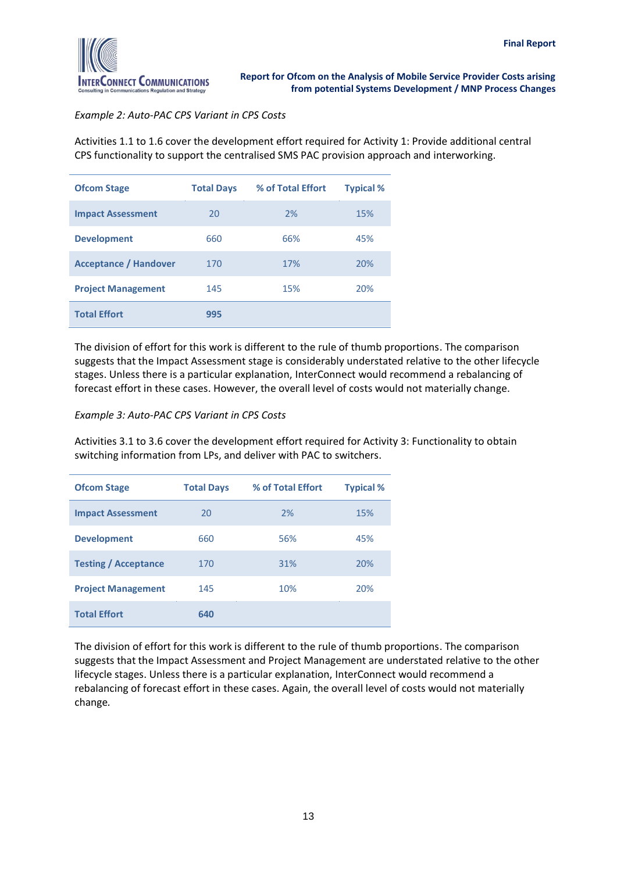

#### *Example 2: Auto-PAC CPS Variant in CPS Costs*

Activities 1.1 to 1.6 cover the development effort required for Activity 1: Provide additional central CPS functionality to support the centralised SMS PAC provision approach and interworking.

| <b>Ofcom Stage</b>           | <b>Total Days</b> | % of Total Effort | <b>Typical %</b> |
|------------------------------|-------------------|-------------------|------------------|
| <b>Impact Assessment</b>     | 20                | 2%                | 15%              |
| <b>Development</b>           | 660               | 66%               | 45%              |
| <b>Acceptance / Handover</b> | 170               | 17%               | 20%              |
| <b>Project Management</b>    | 145               | 15%               | 20%              |
| <b>Total Effort</b>          | 995               |                   |                  |

The division of effort for this work is different to the rule of thumb proportions. The comparison suggests that the Impact Assessment stage is considerably understated relative to the other lifecycle stages. Unless there is a particular explanation, InterConnect would recommend a rebalancing of forecast effort in these cases. However, the overall level of costs would not materially change.

*Example 3: Auto-PAC CPS Variant in CPS Costs*

Activities 3.1 to 3.6 cover the development effort required for Activity 3: Functionality to obtain switching information from LPs, and deliver with PAC to switchers.

| <b>Ofcom Stage</b>          | <b>Total Days</b> | % of Total Effort | <b>Typical %</b> |
|-----------------------------|-------------------|-------------------|------------------|
| <b>Impact Assessment</b>    | 20                | 2%                | 15%              |
| <b>Development</b>          | 660               | 56%               | 45%              |
| <b>Testing / Acceptance</b> | 170               | 31%               | 20%              |
| <b>Project Management</b>   | 145               | 10%               | 20%              |
| <b>Total Effort</b>         | 640               |                   |                  |

The division of effort for this work is different to the rule of thumb proportions. The comparison suggests that the Impact Assessment and Project Management are understated relative to the other lifecycle stages. Unless there is a particular explanation, InterConnect would recommend a rebalancing of forecast effort in these cases. Again, the overall level of costs would not materially change*.*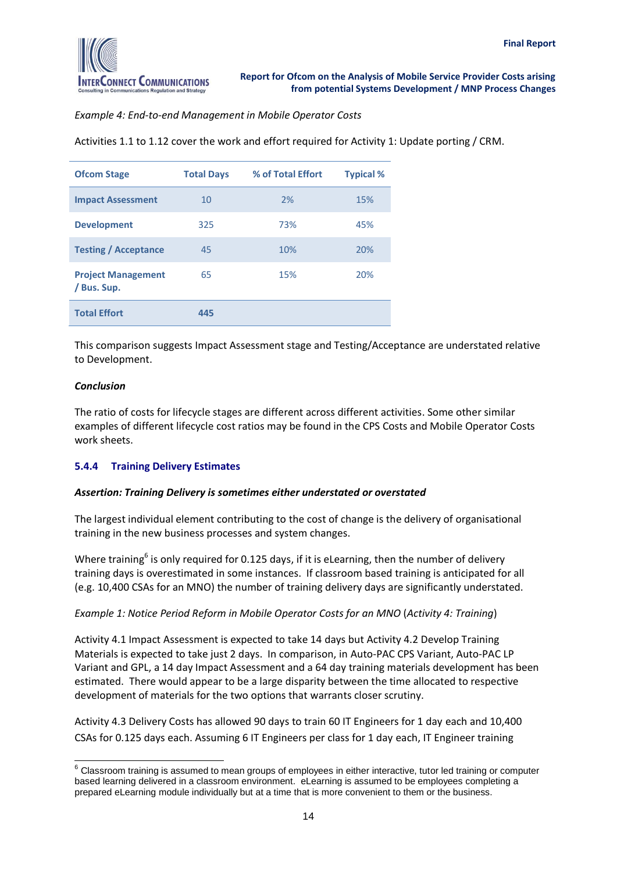

*Example 4: End-to-end Management in Mobile Operator Costs*

| Activities 1.1 to 1.12 cover the work and effort required for Activity 1: Update porting / CRM. |  |  |  |
|-------------------------------------------------------------------------------------------------|--|--|--|
|                                                                                                 |  |  |  |

| <b>Ofcom Stage</b>                       | <b>Total Days</b> | % of Total Effort | <b>Typical %</b> |
|------------------------------------------|-------------------|-------------------|------------------|
| <b>Impact Assessment</b>                 | 10                | 2%                | 15%              |
| <b>Development</b>                       | 325               | 73%               | 45%              |
| <b>Testing / Acceptance</b>              | 45                | 10%               | 20%              |
| <b>Project Management</b><br>/ Bus. Sup. | 65                | 15%               | 20%              |
| <b>Total Effort</b>                      | 445               |                   |                  |

This comparison suggests Impact Assessment stage and Testing/Acceptance are understated relative to Development.

#### *Conclusion*

The ratio of costs for lifecycle stages are different across different activities. Some other similar examples of different lifecycle cost ratios may be found in the CPS Costs and Mobile Operator Costs work sheets.

#### <span id="page-16-0"></span>**5.4.4 Training Delivery Estimates**

#### *Assertion: Training Delivery is sometimes either understated or overstated*

The largest individual element contributing to the cost of change is the delivery of organisational training in the new business processes and system changes.

Where training<sup>6</sup> is only required for 0.125 days, if it is eLearning, then the number of delivery training days is overestimated in some instances. If classroom based training is anticipated for all (e.g. 10,400 CSAs for an MNO) the number of training delivery days are significantly understated.

#### *Example 1: Notice Period Reform in Mobile Operator Costs for an MNO* (*Activity 4: Training*)

Activity 4.1 Impact Assessment is expected to take 14 days but Activity 4.2 Develop Training Materials is expected to take just 2 days. In comparison, in Auto-PAC CPS Variant, Auto-PAC LP Variant and GPL, a 14 day Impact Assessment and a 64 day training materials development has been estimated. There would appear to be a large disparity between the time allocated to respective development of materials for the two options that warrants closer scrutiny.

Activity 4.3 Delivery Costs has allowed 90 days to train 60 IT Engineers for 1 day each and 10,400 CSAs for 0.125 days each. Assuming 6 IT Engineers per class for 1 day each, IT Engineer training

 $\overline{a}$  $6$  Classroom training is assumed to mean groups of employees in either interactive, tutor led training or computer based learning delivered in a classroom environment. eLearning is assumed to be employees completing a prepared eLearning module individually but at a time that is more convenient to them or the business.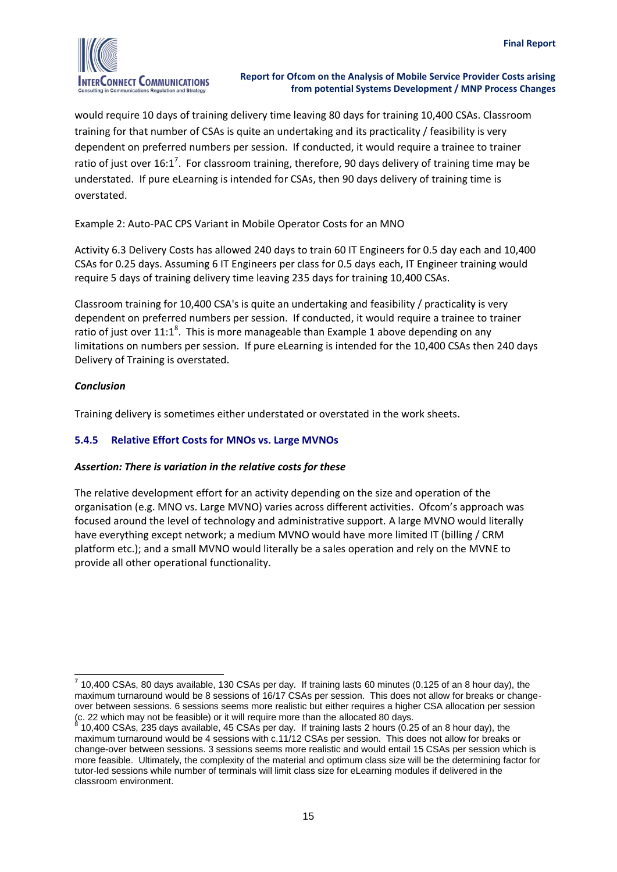

would require 10 days of training delivery time leaving 80 days for training 10,400 CSAs. Classroom training for that number of CSAs is quite an undertaking and its practicality / feasibility is very dependent on preferred numbers per session. If conducted, it would require a trainee to trainer ratio of just over 16:1<sup>7</sup>. For classroom training, therefore, 90 days delivery of training time may be understated. If pure eLearning is intended for CSAs, then 90 days delivery of training time is overstated.

Example 2: Auto-PAC CPS Variant in Mobile Operator Costs for an MNO

Activity 6.3 Delivery Costs has allowed 240 days to train 60 IT Engineers for 0.5 day each and 10,400 CSAs for 0.25 days. Assuming 6 IT Engineers per class for 0.5 days each, IT Engineer training would require 5 days of training delivery time leaving 235 days for training 10,400 CSAs.

Classroom training for 10,400 CSA's is quite an undertaking and feasibility / practicality is very dependent on preferred numbers per session. If conducted, it would require a trainee to trainer ratio of just over  $11:1^8$ . This is more manageable than Example 1 above depending on any limitations on numbers per session. If pure eLearning is intended for the 10,400 CSAs then 240 days Delivery of Training is overstated.

#### *Conclusion*

Training delivery is sometimes either understated or overstated in the work sheets.

#### <span id="page-17-0"></span>**5.4.5 Relative Effort Costs for MNOs vs. Large MVNOs**

#### *Assertion: There is variation in the relative costs for these*

The relative development effort for an activity depending on the size and operation of the organisation (e.g. MNO vs. Large MVNO) varies across different activities. Ofcom's approach was focused around the level of technology and administrative support. A large MVNO would literally have everything except network; a medium MVNO would have more limited IT (billing / CRM platform etc.); and a small MVNO would literally be a sales operation and rely on the MVNE to provide all other operational functionality.

 $\overline{a}$  $^7$  10,400 CSAs, 80 days available, 130 CSAs per day. If training lasts 60 minutes (0.125 of an 8 hour day), the maximum turnaround would be 8 sessions of 16/17 CSAs per session. This does not allow for breaks or changeover between sessions. 6 sessions seems more realistic but either requires a higher CSA allocation per session (c. 22 which may not be feasible) or it will require more than the allocated 80 days.<br>8.10.400.000.000 days days available. 45.000.000 days. If training lasts 3 bours (0.3

<sup>10,400</sup> CSAs, 235 days available, 45 CSAs per day. If training lasts 2 hours (0.25 of an 8 hour day), the maximum turnaround would be 4 sessions with c.11/12 CSAs per session. This does not allow for breaks or change-over between sessions. 3 sessions seems more realistic and would entail 15 CSAs per session which is more feasible. Ultimately, the complexity of the material and optimum class size will be the determining factor for tutor-led sessions while number of terminals will limit class size for eLearning modules if delivered in the classroom environment.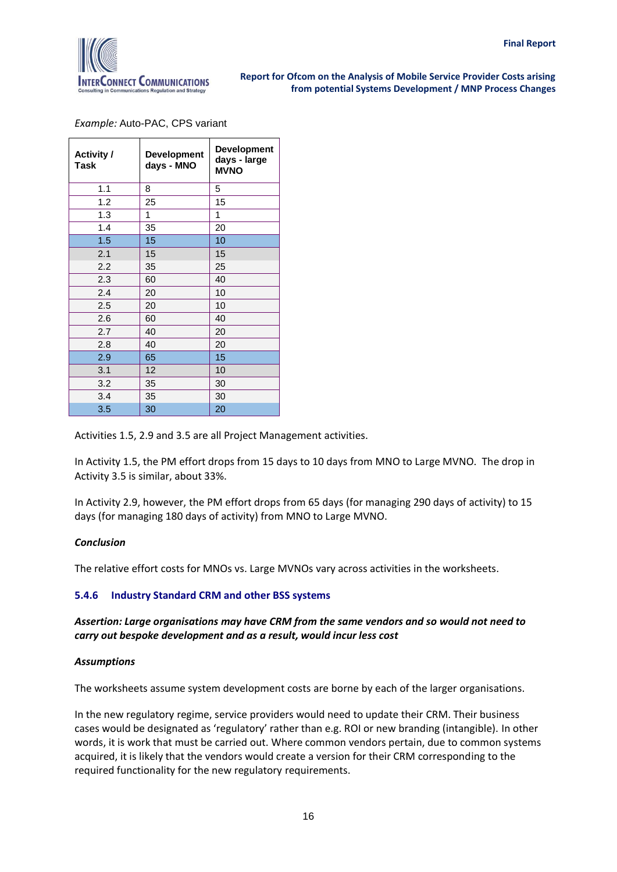

*Example:* Auto-PAC, CPS variant

| <b>Activity /</b><br>Task | <b>Development</b><br>days - MNO | <b>Development</b><br>days - large<br><b>MVNO</b> |
|---------------------------|----------------------------------|---------------------------------------------------|
| 1.1                       | 8                                | 5                                                 |
| 1.2                       | 25                               | 15                                                |
| 1.3                       | 1                                | 1                                                 |
| 1.4                       | 35                               | 20                                                |
| 1.5                       | 15                               | 10                                                |
| 2.1                       | 15                               | 15                                                |
| 2.2                       | 35                               | 25                                                |
| 2.3                       | 60                               | 40                                                |
| 2.4                       | 20                               | 10                                                |
| 2.5                       | 20                               | 10                                                |
| 2.6                       | 60                               | 40                                                |
| 2.7                       | 40                               | 20                                                |
| 2.8                       | 40                               | 20                                                |
| 2.9                       | 65                               | 15                                                |
| 3.1                       | 12                               | 10                                                |
| 3.2                       | 35                               | 30                                                |
| 3.4                       | 35                               | 30                                                |
| 3.5                       | 30                               | 20                                                |

Activities 1.5, 2.9 and 3.5 are all Project Management activities.

In Activity 1.5, the PM effort drops from 15 days to 10 days from MNO to Large MVNO. The drop in Activity 3.5 is similar, about 33%.

In Activity 2.9, however, the PM effort drops from 65 days (for managing 290 days of activity) to 15 days (for managing 180 days of activity) from MNO to Large MVNO.

#### *Conclusion*

The relative effort costs for MNOs vs. Large MVNOs vary across activities in the worksheets.

#### <span id="page-18-0"></span>**5.4.6 Industry Standard CRM and other BSS systems**

#### *Assertion: Large organisations may have CRM from the same vendors and so would not need to carry out bespoke development and as a result, would incur less cost*

#### *Assumptions*

The worksheets assume system development costs are borne by each of the larger organisations.

In the new regulatory regime, service providers would need to update their CRM. Their business cases would be designated as 'regulatory' rather than e.g. ROI or new branding (intangible). In other words, it is work that must be carried out. Where common vendors pertain, due to common systems acquired, it is likely that the vendors would create a version for their CRM corresponding to the required functionality for the new regulatory requirements.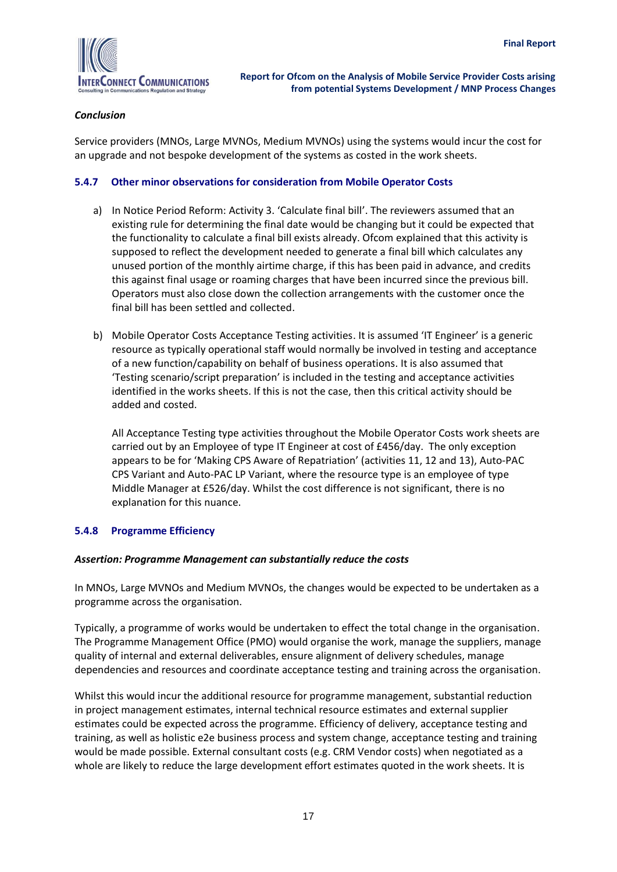

#### *Conclusion*

Service providers (MNOs, Large MVNOs, Medium MVNOs) using the systems would incur the cost for an upgrade and not bespoke development of the systems as costed in the work sheets.

#### <span id="page-19-0"></span>**5.4.7 Other minor observations for consideration from Mobile Operator Costs**

- a) In Notice Period Reform: Activity 3. 'Calculate final bill'. The reviewers assumed that an existing rule for determining the final date would be changing but it could be expected that the functionality to calculate a final bill exists already. Ofcom explained that this activity is supposed to reflect the development needed to generate a final bill which calculates any unused portion of the monthly airtime charge, if this has been paid in advance, and credits this against final usage or roaming charges that have been incurred since the previous bill. Operators must also close down the collection arrangements with the customer once the final bill has been settled and collected.
- b) Mobile Operator Costs Acceptance Testing activities. It is assumed 'IT Engineer' is a generic resource as typically operational staff would normally be involved in testing and acceptance of a new function/capability on behalf of business operations. It is also assumed that 'Testing scenario/script preparation' is included in the testing and acceptance activities identified in the works sheets. If this is not the case, then this critical activity should be added and costed.

All Acceptance Testing type activities throughout the Mobile Operator Costs work sheets are carried out by an Employee of type IT Engineer at cost of £456/day. The only exception appears to be for 'Making CPS Aware of Repatriation' (activities 11, 12 and 13), Auto-PAC CPS Variant and Auto-PAC LP Variant, where the resource type is an employee of type Middle Manager at £526/day. Whilst the cost difference is not significant, there is no explanation for this nuance.

#### <span id="page-19-1"></span>**5.4.8 Programme Efficiency**

#### *Assertion: Programme Management can substantially reduce the costs*

In MNOs, Large MVNOs and Medium MVNOs, the changes would be expected to be undertaken as a programme across the organisation.

Typically, a programme of works would be undertaken to effect the total change in the organisation. The Programme Management Office (PMO) would organise the work, manage the suppliers, manage quality of internal and external deliverables, ensure alignment of delivery schedules, manage dependencies and resources and coordinate acceptance testing and training across the organisation.

Whilst this would incur the additional resource for programme management, substantial reduction in project management estimates, internal technical resource estimates and external supplier estimates could be expected across the programme. Efficiency of delivery, acceptance testing and training, as well as holistic e2e business process and system change, acceptance testing and training would be made possible. External consultant costs (e.g. CRM Vendor costs) when negotiated as a whole are likely to reduce the large development effort estimates quoted in the work sheets. It is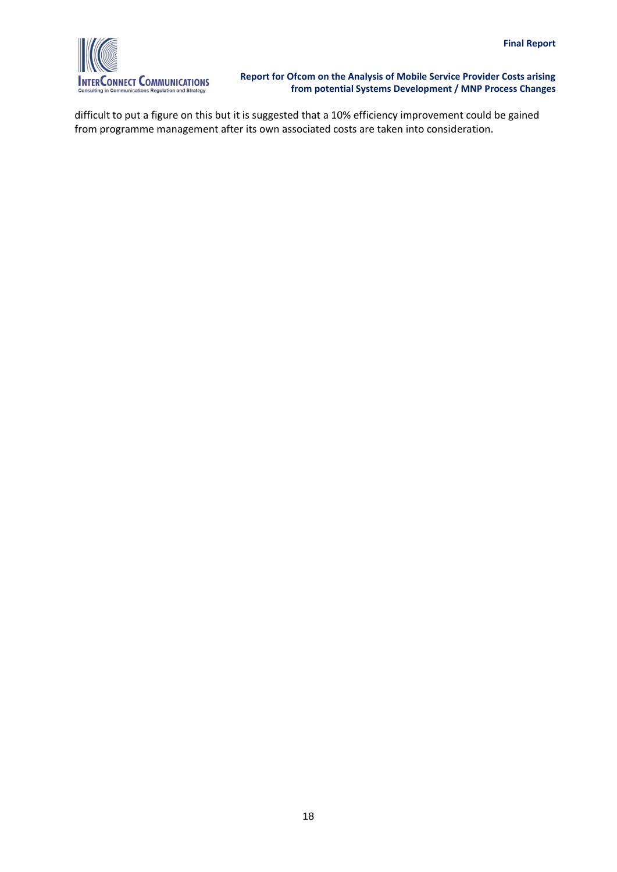

difficult to put a figure on this but it is suggested that a 10% efficiency improvement could be gained from programme management after its own associated costs are taken into consideration.